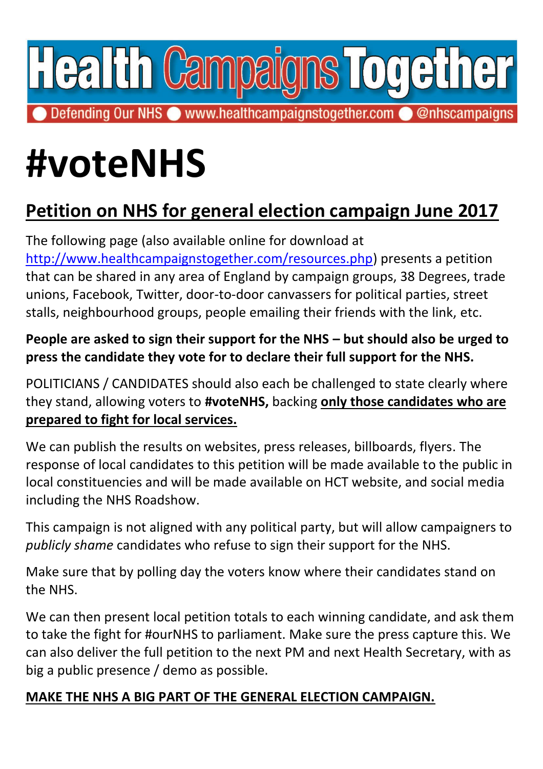

Defending Our NHS www.healthcampaignstogether.com @@nhscampaigns

## **#voteNHS**

## **Petition on NHS for general election campaign June 2017**

The following page (also available online for download at [http://www.healthcampaignstogether.com/resources.php\)](http://www.healthcampaignstogether.com/resources.php) presents a petition that can be shared in any area of England by campaign groups, 38 Degrees, trade unions, Facebook, Twitter, door-to-door canvassers for political parties, street stalls, neighbourhood groups, people emailing their friends with the link, etc.

**People are asked to sign their support for the NHS – but should also be urged to press the candidate they vote for to declare their full support for the NHS.**

POLITICIANS / CANDIDATES should also each be challenged to state clearly where they stand, allowing voters to **#voteNHS,** backing **only those candidates who are prepared to fight for local services.** 

We can publish the results on websites, press releases, billboards, flyers. The response of local candidates to this petition will be made available to the public in local constituencies and will be made available on HCT website, and social media including the NHS Roadshow.

This campaign is not aligned with any political party, but will allow campaigners to *publicly shame* candidates who refuse to sign their support for the NHS.

Make sure that by polling day the voters know where their candidates stand on the NHS.

We can then present local petition totals to each winning candidate, and ask them to take the fight for #ourNHS to parliament. Make sure the press capture this. We can also deliver the full petition to the next PM and next Health Secretary, with as big a public presence / demo as possible.

## **MAKE THE NHS A BIG PART OF THE GENERAL ELECTION CAMPAIGN.**